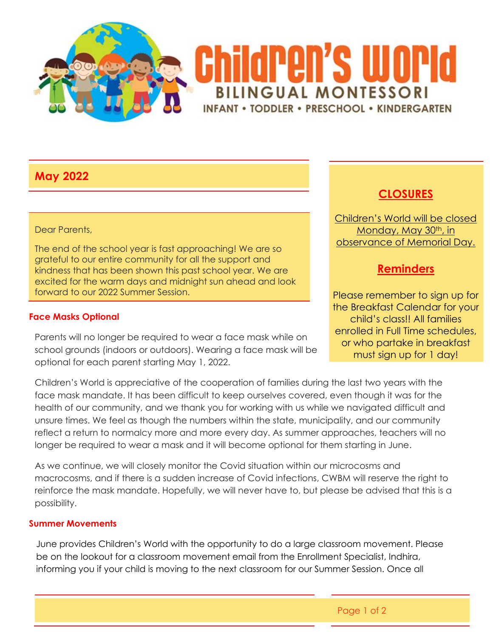

### **May 2022**

#### Dear Parents,

The end of the school year is fast approaching! We are so grateful to our entire community for all the support and kindness that has been shown this past school year. We are excited for the warm days and midnight sun ahead and look forward to our 2022 Summer Session.

### **Face Masks Optional**

Parents will no longer be required to wear a face mask while on school grounds (indoors or outdoors). Wearing a face mask will be optional for each parent starting May 1, 2022.

# **CLOSURES**

Children's World will be closed Monday, May 30th, in observance of Memorial Day.

## **Reminders**

Please remember to sign up for the Breakfast Calendar for your child's class!! All families enrolled in Full Time schedules, or who partake in breakfast must sign up for 1 day!

Children's World is appreciative of the cooperation of families during the last two years with the face mask mandate. It has been difficult to keep ourselves covered, even though it was for the health of our community, and we thank you for working with us while we navigated difficult and unsure times. We feel as though the numbers within the state, municipality, and our community reflect a return to normalcy more and more every day. As summer approaches, teachers will no longer be required to wear a mask and it will become optional for them starting in June.

As we continue, we will closely monitor the Covid situation within our microcosms and macrocosms, and if there is a sudden increase of Covid infections, CWBM will reserve the right to reinforce the mask mandate. Hopefully, we will never have to, but please be advised that this is a possibility.

### **Summer Movements**

June provides Children's World with the opportunity to do a large classroom movement. Please be on the lookout for a classroom movement email from the Enrollment Specialist, Indhira, informing you if your child is moving to the next classroom for our Summer Session. Once all